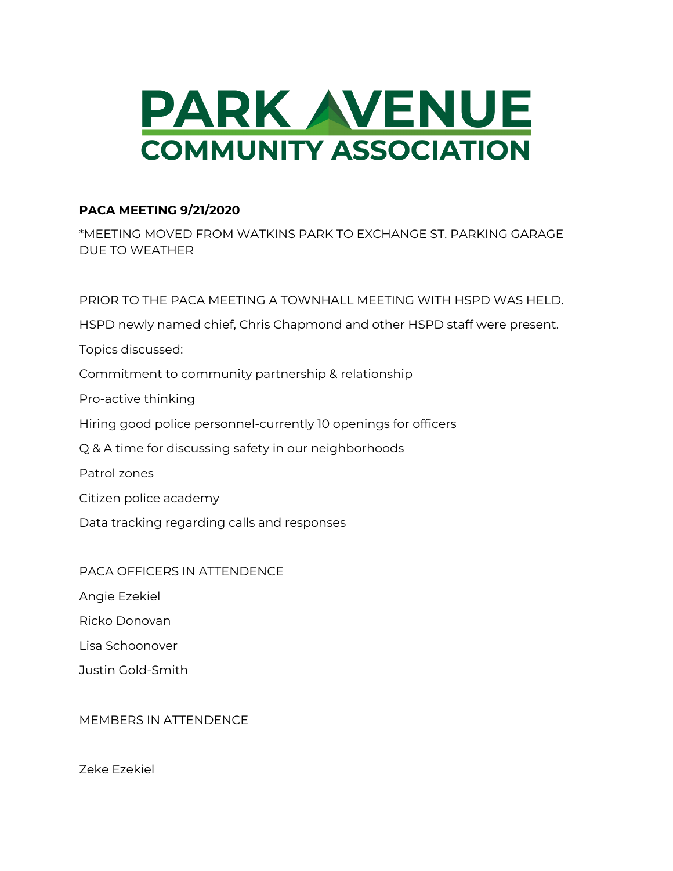

## **PACA MEETING 9/21/2020**

\*MEETING MOVED FROM WATKINS PARK TO EXCHANGE ST. PARKING GARAGE DUE TO WEATHER

PRIOR TO THE PACA MEETING A TOWNHALL MEETING WITH HSPD WAS HELD. HSPD newly named chief, Chris Chapmond and other HSPD staff were present. Topics discussed: Commitment to community partnership & relationship Pro-active thinking Hiring good police personnel-currently 10 openings for officers Q & A time for discussing safety in our neighborhoods Patrol zones Citizen police academy Data tracking regarding calls and responses

PACA OFFICERS IN ATTENDENCE Angie Ezekiel Ricko Donovan Lisa Schoonover Justin Gold-Smith

## MEMBERS IN ATTENDENCE

Zeke Ezekiel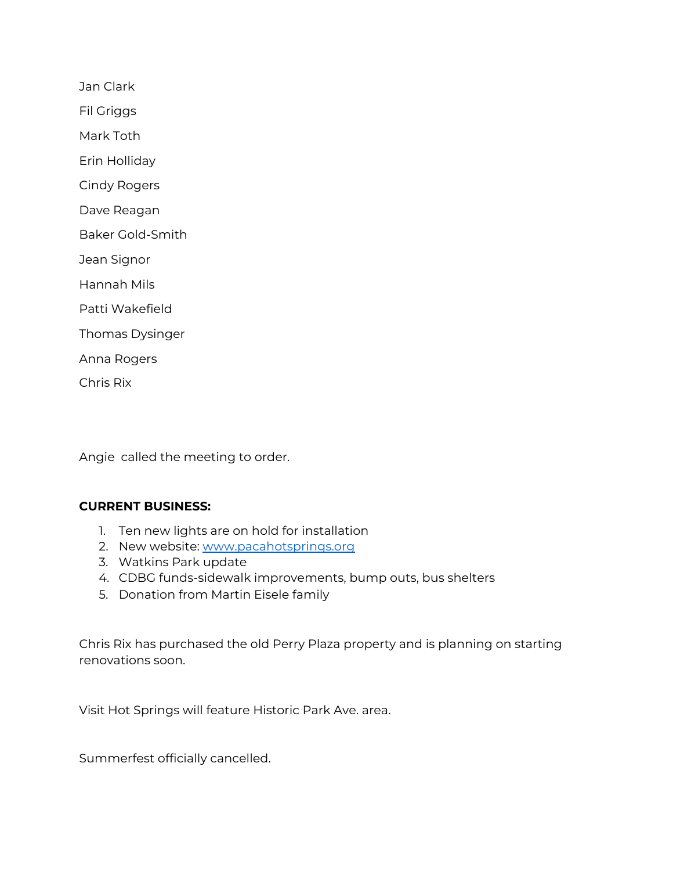| Jan Clark           |
|---------------------|
| Fil Griggs          |
| Mark Toth           |
| Erin Holliday       |
| <b>Cindy Rogers</b> |
| Dave Reagan         |
| Baker Gold-Smith    |
| Jean Signor         |
| Hannah Mils         |
| Patti Wakefield     |
| Thomas Dysinger     |
| Anna Rogers         |
| Chris Rix           |

Angie called the meeting to order.

## **CURRENT BUSINESS:**

- 1. Ten new lights are on hold for installation
- 2. New website: [www.pacahotsprings.org](http://www.pacahotsprings.org/)
- 3. Watkins Park update
- 4. CDBG funds-sidewalk improvements, bump outs, bus shelters
- 5. Donation from Martin Eisele family

Chris Rix has purchased the old Perry Plaza property and is planning on starting renovations soon.

Visit Hot Springs will feature Historic Park Ave. area.

Summerfest officially cancelled.